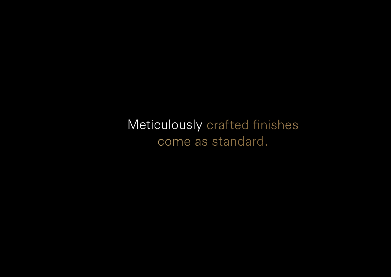Meticulously crafted finishes come as standard.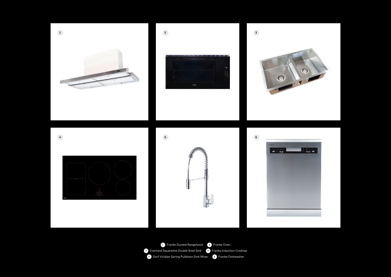











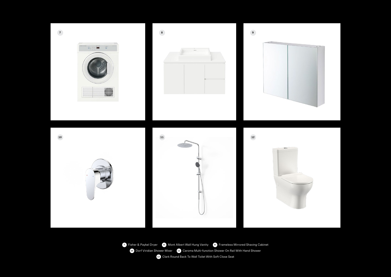Fisher & Paykel Dryer **8** Mont Albert Wall Hung Vanity **9** Frameless Mirrored Shaving Cabinet Dorf Viridian Shower Mixer **11** Caroma Multi-function Shower On Rail With Hand Shower Clark Round Back To Wall Toilet With Soft Close Seat

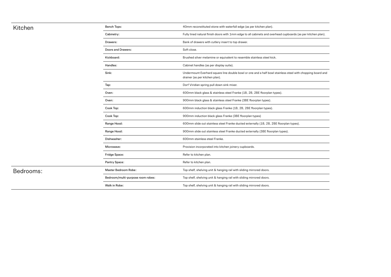Bedrooms:

| Kitchen   | <b>Bench Tops:</b>                | 40mm reconstituted stone with waterfall edge (as per kitchen plan).                                                                          |
|-----------|-----------------------------------|----------------------------------------------------------------------------------------------------------------------------------------------|
|           | Cabinetry:                        | Fully lined natural finish doors with 1mm edge to all cabinets and overhead cupboards (as per kitchen plan).                                 |
|           | Drawers:                          | Bank of drawers with cutlery insert to top drawer.                                                                                           |
|           | Doors and Drawers:                | Soft close.                                                                                                                                  |
|           | Kickboard:                        | Brushed silver melamine or equivalent to resemble stainless steel kick.                                                                      |
|           | Handles:                          | Cabinet handles (as per display suite).                                                                                                      |
|           | Sink:                             | Undermount Everhard square line double bowl or one and a half bowl stainless steel with chopping board and<br>drainer (as per kitchen plan). |
|           | Tap:                              | Dorf Viridian spring pull down sink mixer.                                                                                                   |
|           | Oven:                             | 600mm black glass & stainless steel Franke (1B, 2B, 2BE floorplan types).                                                                    |
|           | Oven:                             | 900mm black glass & stainless steel Franke (3BE floorplan types).                                                                            |
|           | Cook Top:                         | 600mm induction black glass Franke (1B, 2B, 2BE floorplan types).                                                                            |
|           | Cook Top:                         | 900mm induction black glass Franke (3BE floorplan types)                                                                                     |
|           | Range Hood:                       | 600mm slide out stainless steel Franke ducted externally (1B, 2B, 2BE floorplan types).                                                      |
|           | Range Hood:                       | 900mm slide out stainless steel Franke ducted externally (3BE floorplan types).                                                              |
|           | Dishwasher:                       | 600mm stainless steel Franke.                                                                                                                |
|           | Microwave:                        | Provision incorporated into kitchen joinery cupboards.                                                                                       |
|           | Fridge Space:                     | Refer to kitchen plan.                                                                                                                       |
|           | Pantry Space:                     | Refer to kitchen plan.                                                                                                                       |
| Bedrooms: | Master Bedroom Robe:              | Top shelf, shelving unit & hanging rail with sliding mirrored doors.                                                                         |
|           | Bedroom/multi-purpose room robes: | Top shelf, shelving unit & hanging rail with sliding mirrored doors.                                                                         |
|           | Walk in Robe:                     | Top shelf, shelving unit & hanging rail with sliding mirrored doors.                                                                         |
|           |                                   |                                                                                                                                              |

| ds (as per kitchen plan) <mark>.</mark> |  |
|-----------------------------------------|--|
|                                         |  |
|                                         |  |
|                                         |  |
|                                         |  |
| with chopping board and                 |  |
|                                         |  |
|                                         |  |
|                                         |  |
|                                         |  |
|                                         |  |
| pes).                                   |  |
|                                         |  |
|                                         |  |
|                                         |  |
|                                         |  |
|                                         |  |
|                                         |  |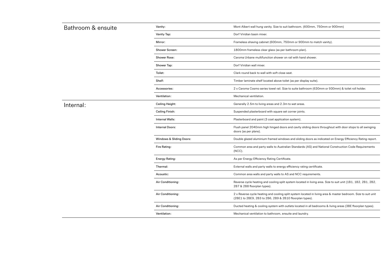| Bathroom & ensuite | Vanity:                             | Mont Albert wall hung vanity. Size to suit bathroom. (600                                                         |
|--------------------|-------------------------------------|-------------------------------------------------------------------------------------------------------------------|
|                    | Vanity Tap:                         | Dorf Viridian basin mixer.                                                                                        |
|                    | Mirror:                             | Frameless shaving cabinet (600mm, 750mm or 900mm                                                                  |
|                    | <b>Shower Screen:</b>               | 1800mm frameless clear glass (as per bathroom plan).                                                              |
|                    | Shower Rose:                        | Caroma Urbane multifunction shower on rail with hand sl                                                           |
|                    | Shower Tap:                         | Dorf Viridian wall mixer.                                                                                         |
|                    | Toilet:                             | Clark round back to wall with soft close seat.                                                                    |
|                    | Shelf:                              | Timber laminate shelf located above toilet (as per display                                                        |
|                    | Accessories:                        | 2 x Caroma Cosmo series towel rail. Size to suite bathroor                                                        |
|                    | Ventilation:                        | Mechanical ventilation.                                                                                           |
| Internal:          | Ceiling Height:                     | Generally 2.5m to living areas and 2.3m to wet areas.                                                             |
|                    | Ceiling Finish:                     | Suspended plasterboard with square set corner joints.                                                             |
|                    | Internal Walls:                     | Plasterboard and paint (3 coat application system).                                                               |
|                    | Internal Doors:                     | Flush panel 2040mm high hinged doors and cavity slidir<br>doors (as per plans).                                   |
|                    | <b>Windows &amp; Sliding Doors:</b> | Double glazed aluminium framed windows and sliding do                                                             |
|                    | Fire Rating:                        | Common area and party walls to Australian Standards (A<br>$(NCC)$ .                                               |
|                    | <b>Energy Rating:</b>               | As per Energy Efficiency Rating Certificate.                                                                      |
|                    | Thermal:                            | External walls and party walls to energy efficiency rating                                                        |
|                    | Acoustic:                           | Common area walls and party walls to AS and NCC requ                                                              |
|                    | Air Conditioning:                   | Reverse cycle heating and cooling split system located ir<br>2B7 & 2B8 floorplan types).                          |
|                    | Air Conditioning:                   | 2 x Reverse cycle heating and cooling split system locate<br>(2BE1 to 2BE9, 2B3 to 2B6, 2B9 & 2B10 floorplan type |
|                    | Air Conditioning:                   | Ducted heating & cooling system with outlets located in                                                           |
|                    | Ventilation:                        | Mechanical ventilation to bathroom, ensuite and laundry.                                                          |
|                    |                                     |                                                                                                                   |

room. (600mm, 750mm or 900mm)

or: 900mm to match vanity).

vith hand shower.

per display suite).

aite bathroom (630mm or 930mm) & toilet roll holder.

cavity sliding doors throughout with door stops to all swinging

d sliding doors as indicated on Energy Efficiency Rating report.

tandards (AS) and National Construction Code Requirements

ency rating certificate.

**ACC** requirements.

m located in living area. Size to suit unit (1B1, 1B2, 2B1, 2B2,

stem located in living area & master bedroom. Size to suit unit orplan types).

Iocated in all bedrooms & living areas (3BE floorplan types).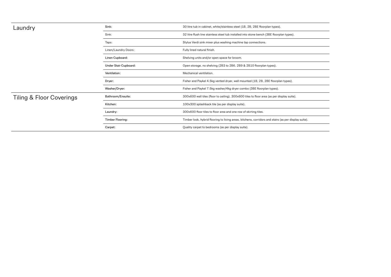| Laundry                  | Sink:                 | 30 litre tub in cabinet, white/stainless steel (1B, 2B, 2BE floorplan types).                        |
|--------------------------|-----------------------|------------------------------------------------------------------------------------------------------|
|                          | Sink:                 | 32 litre flush line stainless steel tub installed into stone bench (3BE floorplan types).            |
|                          | Taps:                 | Stylus Verdi sink mixer plus washing machine tap connections.                                        |
|                          | Linen/Laundry Doors:  | Fully lined natural finish.                                                                          |
|                          | Linen Cupboard:       | Shelving units and/or open space for broom.                                                          |
|                          | Under Stair Cupboard: | Open storage, no shelving (2B3 to 2B6, 2B9 & 2B10 floorplan types).                                  |
|                          | Ventilation:          | Mechanical ventilation.                                                                              |
|                          | Dryer:                | Fisher and Paykel 4.5kg vented dryer, wall mounted (1B, 2B, 2BE floorplan types).                    |
|                          | Washer/Dryer:         | Fisher and Paykel 7.5kg washer/4kg dryer combo (3BE floorplan types).                                |
| Tiling & Floor Coverings | Bathroom/Ensuite:     | 300x600 wall tiles (floor to ceiling). 300x600 tiles to floor area (as per display suite).           |
|                          | Kitchen:              | 100x300 splashback tile (as per display suite).                                                      |
|                          | Laundry:              | 300x600 floor tiles to floor area and one row of skirting tiles.                                     |
|                          | Timber Flooring:      | Timber look, hybrid flooring to living areas, kitchens, corridors and stairs (as per display suite). |
|                          | Carpet:               | Quality carpet to bedrooms (as per display suite).                                                   |
|                          |                       |                                                                                                      |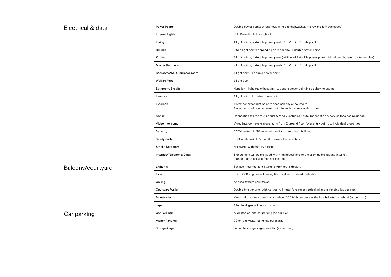| Electrical & data | <b>Power Points:</b>         | Double power points throughout (single to dishwasher, microwave & fridge space).                                                 |
|-------------------|------------------------------|----------------------------------------------------------------------------------------------------------------------------------|
|                   | Internal Lights:             | LED Down lights throughout.                                                                                                      |
|                   | Living:                      | 4 light points, 2 double power points, 1 TV point, 1 data point.                                                                 |
|                   | Dining:                      | 2 to 4 light points depending on room size, 1 double power point.                                                                |
|                   | Kitchen:                     | 3 light points, 1 double power point (additional 1 double power point if island bencl                                            |
|                   | Master Bedroom:              | 2 light points, 2 double power points, 1 TV point, 1 data point.                                                                 |
|                   | Bedrooms/Multi-purpose room: | 1 light point, 1 double power point.                                                                                             |
|                   | Walk in Robe:                | 1 light point.                                                                                                                   |
|                   | Bathroom/Ensuite:            | Heat light, light and exhaust fan, 1 double power point inside shaving cabinet.                                                  |
|                   | Laundry:                     | 1 light point, 1 double power point.                                                                                             |
|                   | External:                    | 1 weather proof light point to each balcony or courtyard.<br>1 weatherproof double power point to each balcony and courtyard.    |
|                   | Aerial:                      | Connection to Free to Air aerial & MATV including Foxtel (connection & service fee                                               |
|                   | Video Intercom:              | Video Intercom system operating from 2 ground floor foyer entry points to individu                                               |
|                   | Security:                    | CCTV system in 20 selected locations throughout building.                                                                        |
|                   | <b>Safety Switch:</b>        | RCD safety switch & circuit breakers to meter box.                                                                               |
|                   | Smoke Detector:              | Hardwired with battery backup.                                                                                                   |
|                   | Internet/Telephone/Data:     | The building will be provided with high speed fibre to the premise broadband intern<br>(connection & service fees not included). |
| Balcony/courtyard | Lighting:                    | Surface mounted light fitting to Architect's design.                                                                             |
|                   | Floor:                       | 600 x 600 engineered paving tile installed on raised pedestals.                                                                  |
|                   | Ceiling:                     | Applied texture paint finish.                                                                                                    |
|                   | <b>Courtyard Walls</b>       | Double brick or brick with vertical rail metal fencing or vertical rail metal fencing (as                                        |
|                   | <b>Balustrades:</b>          | Metal balustrade or glass balustrade or 600 high concrete with glass balustrade bel                                              |
|                   | Taps:                        | 1 tap to all ground floor courtyards.                                                                                            |
| Car parking       | Car Parking:                 | Allocated on-site car parking (as per plan).                                                                                     |
|                   | <b>Visitor Parking:</b>      | 22 on-site visitor parks (as per plan).                                                                                          |
|                   | Storage Cage:                | Lockable storage cage provided (as per plan).                                                                                    |
|                   |                              |                                                                                                                                  |

Lidouble power point if island bench, refer to kitchen plan).

ng Foxtel (connection & service fees not included).

floor foyer entry points to individual properties.

re to the premise broadband internet

ing or vertical rail metal fencing (as per plan).

concrete with glass balustrade behind (as per plan).